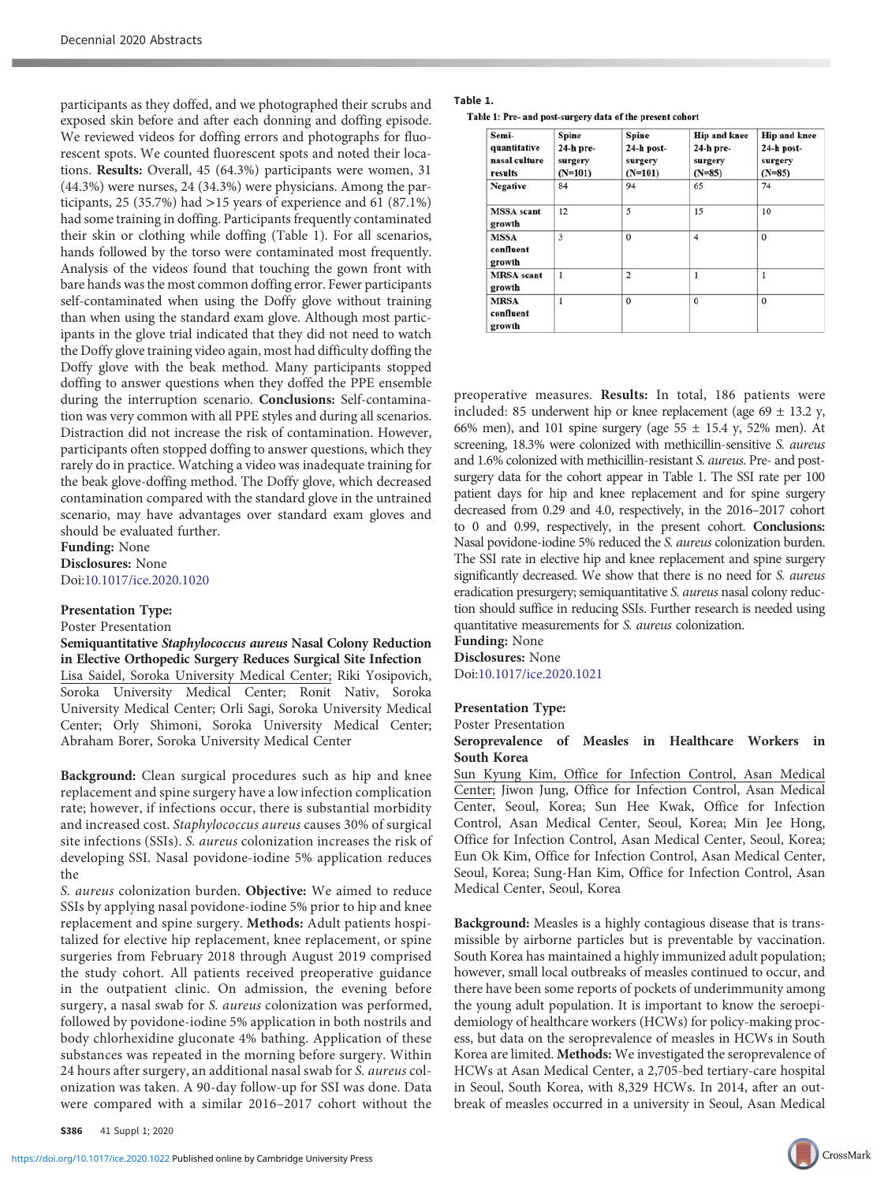participants as they doffed, and we photographed their scrubs and exposed skin before and after each donning and doffing episode. We reviewed videos for doffing errors and photographs for fluorescent spots. We counted fluorescent spots and noted their locations. Results: Overall, 45 (64.3%) participants were women, 31 (44.3%) were nurses, 24 (34.3%) were physicians. Among the participants, 25 (35.7%) had >15 years of experience and 61 (87.1%) had some training in doffing. Participants frequently contaminated their skin or clothing while doffing (Table 1). For all scenarios, hands followed by the torso were contaminated most frequently. Analysis of the videos found that touching the gown front with bare hands was the most common doffing error. Fewer participants self-contaminated when using the Doffy glove without training than when using the standard exam glove. Although most participants in the glove trial indicated that they did not need to watch the Doffy glove training video again, most had difficulty doffing the Doffy glove with the beak method. Many participants stopped doffing to answer questions when they doffed the PPE ensemble during the interruption scenario. Conclusions: Self-contamination was very common with all PPE styles and during all scenarios. Distraction did not increase the risk of contamination. However, participants often stopped doffing to answer questions, which they rarely do in practice. Watching a video was inadequate training for the beak glove-doffing method. The Doffy glove, which decreased contamination compared with the standard glove in the untrained scenario, may have advantages over standard exam gloves and should be evaluated further.

Funding: None Disclosures: None Doi:[10.1017/ice.2020.1020](https://doi.org/10.1017/ice.2020.1020)

#### Presentation Type:

Poster Presentation

Semiquantitative Staphylococcus aureus Nasal Colony Reduction in Elective Orthopedic Surgery Reduces Surgical Site Infection Lisa Saidel, Soroka University Medical Center; Riki Yosipovich, Soroka University Medical Center; Ronit Nativ, Soroka University Medical Center; Orli Sagi, Soroka University Medical Center; Orly Shimoni, Soroka University Medical Center; Abraham Borer, Soroka University Medical Center

Background: Clean surgical procedures such as hip and knee replacement and spine surgery have a low infection complication rate; however, if infections occur, there is substantial morbidity and increased cost. Staphylococcus aureus causes 30% of surgical site infections (SSIs). S. aureus colonization increases the risk of developing SSI. Nasal povidone-iodine 5% application reduces the

S. aureus colonization burden. Objective: We aimed to reduce SSIs by applying nasal povidone-iodine 5% prior to hip and knee replacement and spine surgery. Methods: Adult patients hospitalized for elective hip replacement, knee replacement, or spine surgeries from February 2018 through August 2019 comprised the study cohort. All patients received preoperative guidance in the outpatient clinic. On admission, the evening before surgery, a nasal swab for S. aureus colonization was performed, followed by povidone-iodine 5% application in both nostrils and body chlorhexidine gluconate 4% bathing. Application of these substances was repeated in the morning before surgery. Within 24 hours after surgery, an additional nasal swab for S. aureus colonization was taken. A 90-day follow-up for SSI was done. Data were compared with a similar 2016–2017 cohort without the

S386 41 Suppl 1; 2020

#### Table 1.

Table 1: Pre- and post-surgery data of the present cohort

| Semi-<br>quantitative<br>nasal culture<br>results | Spine<br>$24-h$ pre-<br>surgery<br>$(N=101)$ | Spine<br>24-h post-<br>surgery<br>$(N=101)$ | <b>Hip and knee</b><br>24-h pre-<br>surgery<br>$(N=85)$ | <b>Hip and knee</b><br>$24-h$ post-<br>surgery<br>$(N=85)$ |
|---------------------------------------------------|----------------------------------------------|---------------------------------------------|---------------------------------------------------------|------------------------------------------------------------|
| <b>Negative</b>                                   | 84                                           | 94                                          | 65                                                      | 74                                                         |
| <b>MSSA</b> scant<br>growth                       | 12                                           | 5                                           | 15                                                      | 10                                                         |
| <b>MSSA</b><br>confluent<br>growth                | 3                                            | $\mathbf{0}$                                | $\overline{4}$                                          | $\Omega$                                                   |
| <b>MRSA</b> scant<br>growth                       | $\mathbf{1}$                                 | $\overline{2}$                              | 1                                                       | 1                                                          |
| <b>MRSA</b><br>confluent<br>growth                | 1                                            | $\bf{0}$                                    | $\Omega$                                                | $\mathbf{0}$                                               |

preoperative measures. Results: In total, 186 patients were included: 85 underwent hip or knee replacement (age  $69 \pm 13.2$  y, 66% men), and 101 spine surgery (age  $55 \pm 15.4$  y,  $52\%$  men). At screening, 18.3% were colonized with methicillin-sensitive S. aureus and 1.6% colonized with methicillin-resistant S. aureus. Pre- and postsurgery data for the cohort appear in Table 1. The SSI rate per 100 patient days for hip and knee replacement and for spine surgery decreased from 0.29 and 4.0, respectively, in the 2016–2017 cohort to 0 and 0.99, respectively, in the present cohort. Conclusions: Nasal povidone-iodine 5% reduced the S. aureus colonization burden. The SSI rate in elective hip and knee replacement and spine surgery significantly decreased. We show that there is no need for S. aureus eradication presurgery; semiquantitative S. aureus nasal colony reduction should suffice in reducing SSIs. Further research is needed using quantitative measurements for S. aureus colonization.

Funding: None Disclosures: None Doi:[10.1017/ice.2020.1021](https://doi.org/10.1017/ice.2020.1021)

#### Presentation Type:

Poster Presentation

## Seroprevalence of Measles in Healthcare Workers in South Korea

Sun Kyung Kim, Office for Infection Control, Asan Medical Center; Jiwon Jung, Office for Infection Control, Asan Medical Center, Seoul, Korea; Sun Hee Kwak, Office for Infection Control, Asan Medical Center, Seoul, Korea; Min Jee Hong, Office for Infection Control, Asan Medical Center, Seoul, Korea; Eun Ok Kim, Office for Infection Control, Asan Medical Center, Seoul, Korea; Sung-Han Kim, Office for Infection Control, Asan Medical Center, Seoul, Korea

Background: Measles is a highly contagious disease that is transmissible by airborne particles but is preventable by vaccination. South Korea has maintained a highly immunized adult population; however, small local outbreaks of measles continued to occur, and there have been some reports of pockets of underimmunity among the young adult population. It is important to know the seroepidemiology of healthcare workers (HCWs) for policy-making process, but data on the seroprevalence of measles in HCWs in South Korea are limited. Methods: We investigated the seroprevalence of HCWs at Asan Medical Center, a 2,705-bed tertiary-care hospital in Seoul, South Korea, with 8,329 HCWs. In 2014, after an outbreak of measles occurred in a university in Seoul, Asan Medical